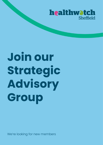

# **Join our Strategic Advisory Group**

We're looking for new members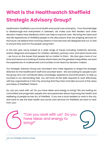# **What is the Healthwatch Sheffield Strategic Advisory Group?**

Healthwatch Sheffield is your local health and social care champion. From Stocksbridge to Mosborough and everywhere in between, we make sure NHS leaders and other decision makers hear feedback which can help to improve care. We bring the views and real life experiences of Sheffield people to the discussions that are shaping services for the future; we believe that involving citizens in how services are designed and run, is vital to ensure they work for the people using them.

In the last year we've looked at a wide range of issues including maternity services, autism diagnosis and support for children, dentistry, primary care, and adult social care – we focus on the issues that people tell us matter to them. We also give more of our time and resource to looking at issues where there are the greatest inequalities; we want the experiences of underserved communities to be heard by decision makers.

Our Strategic Advisory Group are volunteers who meet regularly to shape the strategic direction for the Healthwatch staff and volunteer team. We are looking for people to join the group who can contribute ideas, knowledge, experience and enthusiasm, to help us succeed in our demanding task. You will have all the skills required to work effectively with key organisations in the City, ensuring that they hear and take account of the views and ideas of Sheffield Citizens.

So, can you work with us? Do you have ideas and energy to bring? We are looking for committed and pragmatic people who are passionate about improving the health and wellbeing of people across ALL of Sheffield. If you are a local resident or work in the city and want to see the best health and social care services for Sheffield, we want to hear from you!

> "Can you work with us? Do you have ideas and energy to bring?"

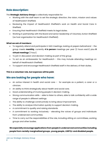## **Role description:**

The **Strategic Advisory Group** is collectively responsible for:

- Working with the staff team to set the strategic direction, the vision, mission and values of Healthwatch Sheffield.
- Reviewing the impact of Healthwatch Sheffield's work on Health and Social Care in Sheffield.
- Ensuring that Healthwatch Sheffield meets its legal duties.
- Working in partnership with the Board and senior leadership of Voluntary Action Sheffield (as host organisation for Healthwatch Sheffield).

#### **What we ask of members:**

- To regularly attend and participate in SAG meetings, looking at papers beforehand the group meets **monthly**, currently **4 in person** meetings per year (2 hours each) plus **8 virtual meetings** (1 hour).
- To join in discussion and decision making as part of the group.
- To act as an ambassador for Healthwatch this may include attending meetings on behalf of Healthwatch Sheffield.
- To support and encourage Healthwatch Sheffield staff in the delivery of their duties.

#### **This is a volunteer role, but expenses will be paid.**

### **We are looking for people who have:**

- An active interest in health and social care for example as a patient, a carer or a clinician.
- An ability to think strategically about health and social care.
- Good understanding of involving people in decision making.
- Strong communication skills able to listen to others, able to talk confidently with a wide range of people in different settings.
- The ability to challenge constructively to bring about improvement.
- The ability to analyse information quickly to support decision making.
- A commitment to quality and raising standards.
- A commitment to working inclusively elevating the voices of groups and individuals from underserved communities.
- Time to carry out the responsibilities of the role, including sitting on committees, working groups and other bodies.

#### **We especially encourage applications from people in underserved communities including people from racially marginalized groups, young people, LGBTQ+ and disabled people.**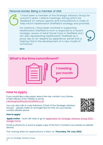#### Personal stories: Being a member of SAG



"I have been a member of the Strategic Advisory Group for around 3 years. I attend meetings, during which we feedback on various reports and consultations in order to help inform Healthwatch Sheffield's strategy and priorities.

For instance, I have been involved in supporting Healthwatch Sheffield to form a response to a recent strategic review of Adult Social Care in Sheffield and I am also representing Healthwatch Sheffield as a proxy rep on an 'experts by experience' panel that is helping inform the development of a new model of homecare."

Beth



# **How to apply**

If you would like a discussion about the role, contact Lucy Davies (Chief Officer) 0742 7394101 or email [l.davies@healthwatchsheffield.co.uk](mailto:l.davies@healthwatchsheffield.co.uk)

You can also talk to Judy Robinson (Chair of the Strategic Advisory Group) – please make an arrangement for this via Lucy Davies, contact details above.



#### **How to apply:**

**Apply online** – Scan QR code or go to [Application for Strategic Advisory Group 2022 -](https://docs.google.com/forms/d/100tiaox0yUJdwUDEt8EbKrYKVSgD_GQjjQWaQVAn9RI/edit) [Google Forms](https://docs.google.com/forms/d/100tiaox0yUJdwUDEt8EbKrYKVSgD_GQjjQWaQVAn9RI/edit)

Email or phone for a word or paper copy of the form (contact Lucy Davies on details above)

The closing date for applications is 8am on **Thursday 7th July 2022**.